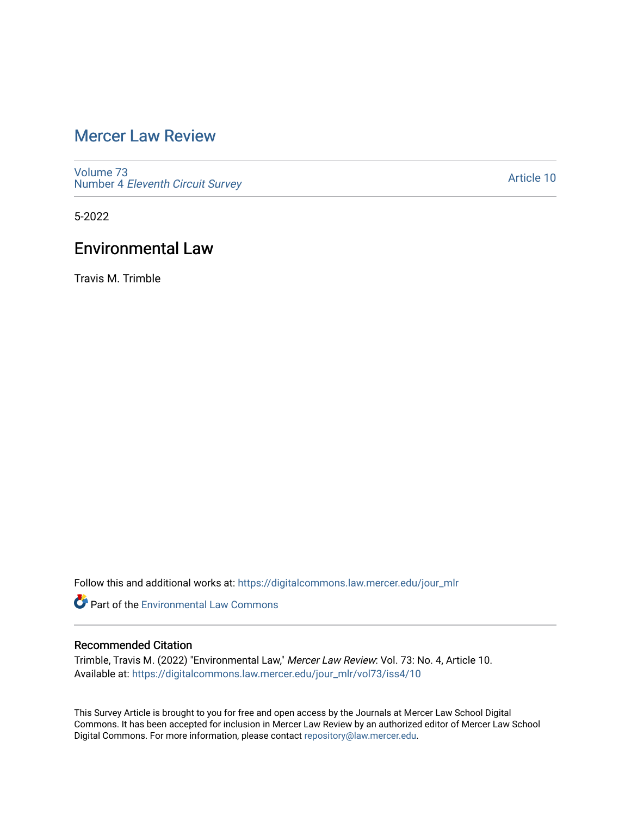## [Mercer Law Review](https://digitalcommons.law.mercer.edu/jour_mlr)

[Volume 73](https://digitalcommons.law.mercer.edu/jour_mlr/vol73) Number 4 [Eleventh Circuit Survey](https://digitalcommons.law.mercer.edu/jour_mlr/vol73/iss4) 

[Article 10](https://digitalcommons.law.mercer.edu/jour_mlr/vol73/iss4/10) 

5-2022

### Environmental Law

Travis M. Trimble

Follow this and additional works at: [https://digitalcommons.law.mercer.edu/jour\\_mlr](https://digitalcommons.law.mercer.edu/jour_mlr?utm_source=digitalcommons.law.mercer.edu%2Fjour_mlr%2Fvol73%2Fiss4%2F10&utm_medium=PDF&utm_campaign=PDFCoverPages)

**Part of the [Environmental Law Commons](https://network.bepress.com/hgg/discipline/599?utm_source=digitalcommons.law.mercer.edu%2Fjour_mlr%2Fvol73%2Fiss4%2F10&utm_medium=PDF&utm_campaign=PDFCoverPages)** 

### Recommended Citation

Trimble, Travis M. (2022) "Environmental Law," Mercer Law Review: Vol. 73: No. 4, Article 10. Available at: [https://digitalcommons.law.mercer.edu/jour\\_mlr/vol73/iss4/10](https://digitalcommons.law.mercer.edu/jour_mlr/vol73/iss4/10?utm_source=digitalcommons.law.mercer.edu%2Fjour_mlr%2Fvol73%2Fiss4%2F10&utm_medium=PDF&utm_campaign=PDFCoverPages) 

This Survey Article is brought to you for free and open access by the Journals at Mercer Law School Digital Commons. It has been accepted for inclusion in Mercer Law Review by an authorized editor of Mercer Law School Digital Commons. For more information, please contact [repository@law.mercer.edu](mailto:repository@law.mercer.edu).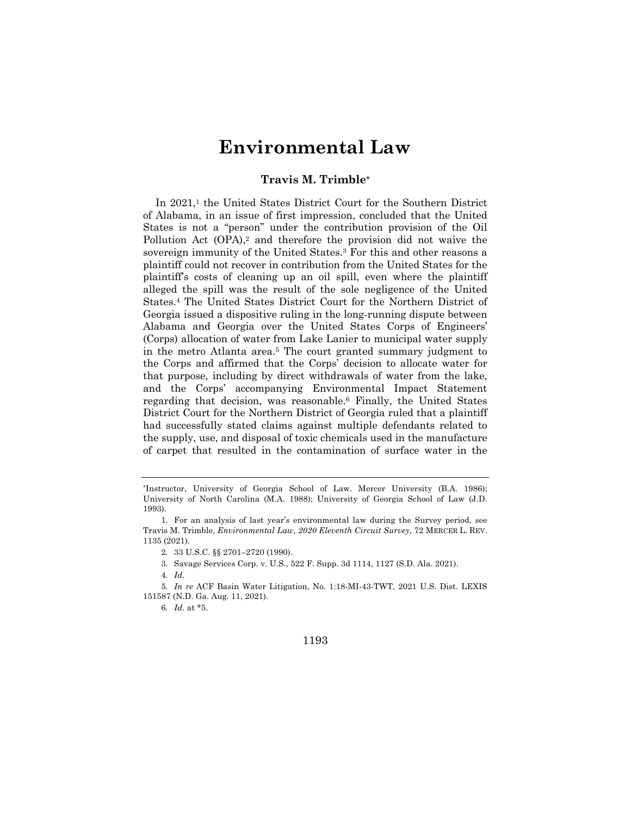# **Environmental Law**

#### **Travis M. Trimble\***

In 2021,<sup>1</sup> the United States District Court for the Southern District of Alabama, in an issue of first impression, concluded that the United States is not a "person" under the contribution provision of the Oil Pollution Act (OPA),<sup>2</sup> and therefore the provision did not waive the sovereign immunity of the United States.3 For this and other reasons a plaintiff could not recover in contribution from the United States for the plaintiff's costs of cleaning up an oil spill, even where the plaintiff alleged the spill was the result of the sole negligence of the United States.4 The United States District Court for the Northern District of Georgia issued a dispositive ruling in the long-running dispute between Alabama and Georgia over the United States Corps of Engineers' (Corps) allocation of water from Lake Lanier to municipal water supply in the metro Atlanta area.5 The court granted summary judgment to the Corps and affirmed that the Corps' decision to allocate water for that purpose, including by direct withdrawals of water from the lake, and the Corps' accompanying Environmental Impact Statement regarding that decision, was reasonable.6 Finally, the United States District Court for the Northern District of Georgia ruled that a plaintiff had successfully stated claims against multiple defendants related to the supply, use, and disposal of toxic chemicals used in the manufacture of carpet that resulted in the contamination of surface water in the

3. Savage Services Corp. v. U.S., 522 F. Supp. 3d 1114, 1127 (S.D. Ala. 2021).

1193

<sup>\*</sup>Instructor, University of Georgia School of Law. Mercer University (B.A. 1986); University of North Carolina (M.A. 1988); University of Georgia School of Law (J.D. 1993).

<sup>1.</sup> For an analysis of last year's environmental law during the Survey period, see Travis M. Trimble, *Environmental Law, 2020 Eleventh Circuit Survey,* 72 MERCER L. REV. 1135 (2021).

<sup>2.</sup> 33 U.S.C. §§ 2701–2720 (1990).

<sup>4</sup>*. Id*.

<sup>5</sup>*. In re* ACF Basin Water Litigation, No. 1:18-MI-43-TWT, 2021 U.S. Dist. LEXIS 151587 (N.D. Ga. Aug. 11, 2021).

<sup>6</sup>*. Id*. at \*5.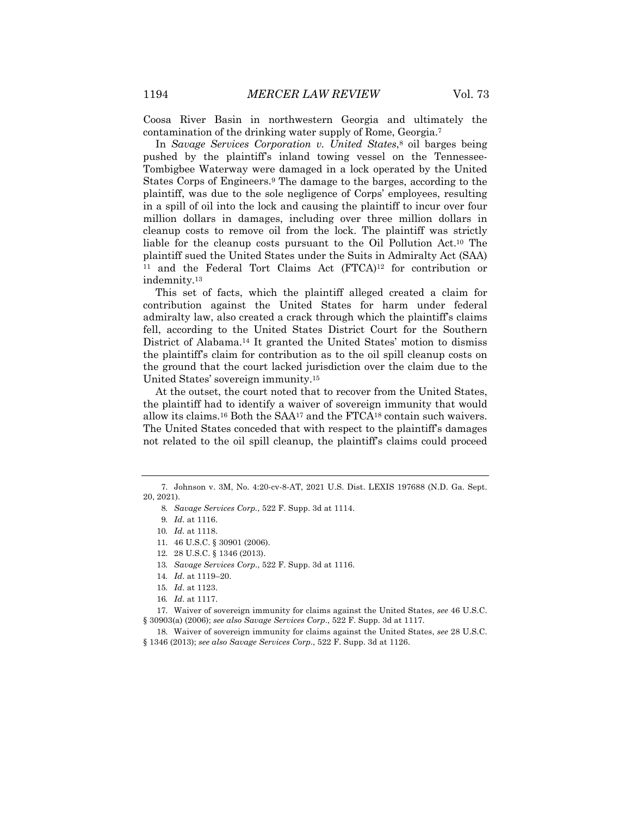Coosa River Basin in northwestern Georgia and ultimately the contamination of the drinking water supply of Rome, Georgia.7

In *Savage Services Corporation v. United States*,8 oil barges being pushed by the plaintiff's inland towing vessel on the Tennessee-Tombigbee Waterway were damaged in a lock operated by the United States Corps of Engineers.9 The damage to the barges, according to the plaintiff, was due to the sole negligence of Corps' employees, resulting in a spill of oil into the lock and causing the plaintiff to incur over four million dollars in damages, including over three million dollars in cleanup costs to remove oil from the lock. The plaintiff was strictly liable for the cleanup costs pursuant to the Oil Pollution Act.10 The plaintiff sued the United States under the Suits in Admiralty Act (SAA) <sup>11</sup> and the Federal Tort Claims Act (FTCA)12 for contribution or indemnity.13

This set of facts, which the plaintiff alleged created a claim for contribution against the United States for harm under federal admiralty law, also created a crack through which the plaintiff's claims fell, according to the United States District Court for the Southern District of Alabama.14 It granted the United States' motion to dismiss the plaintiff's claim for contribution as to the oil spill cleanup costs on the ground that the court lacked jurisdiction over the claim due to the United States' sovereign immunity.15

At the outset, the court noted that to recover from the United States, the plaintiff had to identify a waiver of sovereign immunity that would allow its claims.<sup>16</sup> Both the  $SAA^{17}$  and the  $ETCA^{18}$  contain such waivers. The United States conceded that with respect to the plaintiff's damages not related to the oil spill cleanup, the plaintiff's claims could proceed

<sup>7.</sup> Johnson v. 3M, No. 4:20-cv-8-AT, 2021 U.S. Dist. LEXIS 197688 (N.D. Ga. Sept. 20, 2021).

<sup>8</sup>*. Savage Services Corp.*, 522 F. Supp. 3d at 1114.

<sup>9</sup>*. Id*. at 1116.

<sup>10</sup>*. Id.* at 1118.

<sup>11.</sup> 46 U.S.C. § 30901 (2006).

<sup>12.</sup> 28 U.S.C. § 1346 (2013).

<sup>13</sup>*. Savage Services Corp*., 522 F. Supp. 3d at 1116.

<sup>14</sup>*. Id*. at 1119–20.

<sup>15</sup>*. Id*. at 1123.

<sup>16</sup>*. Id*. at 1117.

<sup>17.</sup> Waiver of sovereign immunity for claims against the United States, *see* 46 U.S.C. § 30903(a) (2006); *see also Savage Services Corp*., 522 F. Supp. 3d at 1117.

<sup>18.</sup> Waiver of sovereign immunity for claims against the United States, *see* 28 U.S.C. § 1346 (2013); *see also Savage Services Corp*., 522 F. Supp. 3d at 1126.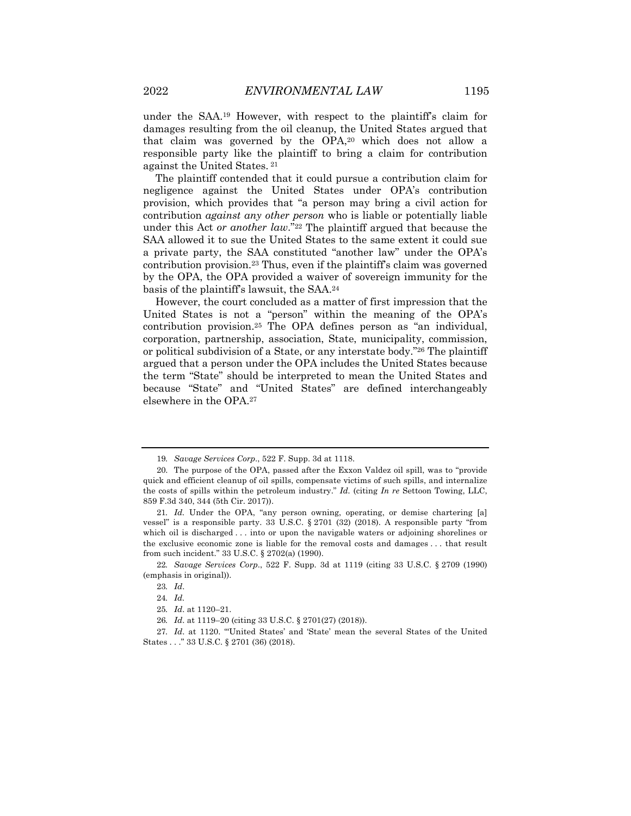under the SAA.19 However, with respect to the plaintiff's claim for damages resulting from the oil cleanup, the United States argued that that claim was governed by the OPA,20 which does not allow a responsible party like the plaintiff to bring a claim for contribution against the United States. <sup>21</sup>

The plaintiff contended that it could pursue a contribution claim for negligence against the United States under OPA's contribution provision, which provides that "a person may bring a civil action for contribution *against any other person* who is liable or potentially liable under this Act *or another law*."22 The plaintiff argued that because the SAA allowed it to sue the United States to the same extent it could sue a private party, the SAA constituted "another law" under the OPA's contribution provision.23 Thus, even if the plaintiff's claim was governed by the OPA, the OPA provided a waiver of sovereign immunity for the basis of the plaintiff's lawsuit, the SAA.24

However, the court concluded as a matter of first impression that the United States is not a "person" within the meaning of the OPA's contribution provision.25 The OPA defines person as "an individual, corporation, partnership, association, State, municipality, commission, or political subdivision of a State, or any interstate body."26 The plaintiff argued that a person under the OPA includes the United States because the term "State" should be interpreted to mean the United States and because "State" and "United States" are defined interchangeably elsewhere in the OPA.27

<sup>19</sup>*. Savage Services Corp*., 522 F. Supp. 3d at 1118.

<sup>20.</sup> The purpose of the OPA, passed after the Exxon Valdez oil spill, was to "provide quick and efficient cleanup of oil spills, compensate victims of such spills, and internalize the costs of spills within the petroleum industry." *Id.* (citing *In re* Settoon Towing, LLC, 859 F.3d 340, 344 (5th Cir. 2017)).

<sup>21</sup>*. Id.* Under the OPA, "any person owning, operating, or demise chartering [a] vessel" is a responsible party. 33 U.S.C. § 2701 (32) (2018). A responsible party "from which oil is discharged . . . into or upon the navigable waters or adjoining shorelines or the exclusive economic zone is liable for the removal costs and damages . . . that result from such incident." 33 U.S.C. § 2702(a) (1990).

<sup>22</sup>*. Savage Services Corp*., 522 F. Supp. 3d at 1119 (citing 33 U.S.C. § 2709 (1990) (emphasis in original)).

<sup>23</sup>*. Id*.

<sup>24</sup>*. Id.*

<sup>25</sup>*. Id*. at 1120–21.

<sup>26</sup>*. Id*. at 1119–20 (citing 33 U.S.C. § 2701(27) (2018)).

<sup>27</sup>*. Id*. at 1120. "'United States' and 'State' mean the several States of the United States . . ." 33 U.S.C. § 2701 (36) (2018).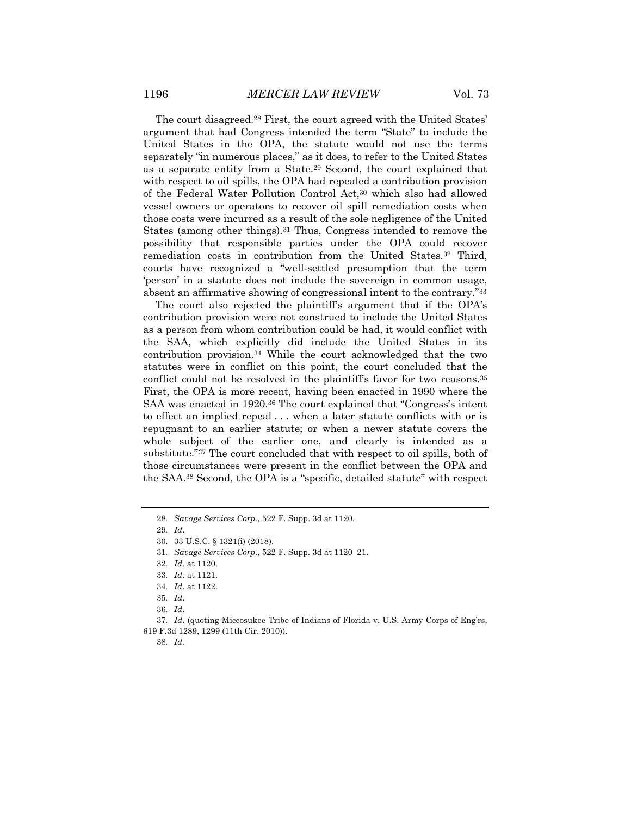The court disagreed.28 First, the court agreed with the United States' argument that had Congress intended the term "State" to include the United States in the OPA, the statute would not use the terms separately "in numerous places," as it does, to refer to the United States as a separate entity from a State.29 Second, the court explained that with respect to oil spills, the OPA had repealed a contribution provision of the Federal Water Pollution Control Act,30 which also had allowed vessel owners or operators to recover oil spill remediation costs when those costs were incurred as a result of the sole negligence of the United States (among other things).31 Thus, Congress intended to remove the possibility that responsible parties under the OPA could recover remediation costs in contribution from the United States.32 Third, courts have recognized a "well-settled presumption that the term 'person' in a statute does not include the sovereign in common usage,

The court also rejected the plaintiff's argument that if the OPA's contribution provision were not construed to include the United States as a person from whom contribution could be had, it would conflict with the SAA, which explicitly did include the United States in its contribution provision.34 While the court acknowledged that the two statutes were in conflict on this point, the court concluded that the conflict could not be resolved in the plaintiff's favor for two reasons.<sup>35</sup> First, the OPA is more recent, having been enacted in 1990 where the SAA was enacted in 1920.<sup>36</sup> The court explained that "Congress's intent to effect an implied repeal . . . when a later statute conflicts with or is repugnant to an earlier statute; or when a newer statute covers the whole subject of the earlier one, and clearly is intended as a substitute."37 The court concluded that with respect to oil spills, both of those circumstances were present in the conflict between the OPA and the SAA.38 Second, the OPA is a "specific, detailed statute" with respect

absent an affirmative showing of congressional intent to the contrary."33

34*. Id*. at 1122.

38*. Id.*

<sup>28</sup>*. Savage Services Corp*., 522 F. Supp. 3d at 1120.

<sup>29</sup>*. Id*.

<sup>30.</sup> 33 U.S.C. § 1321(i) (2018).

<sup>31</sup>*. Savage Services Corp*., 522 F. Supp. 3d at 1120–21.

<sup>32</sup>*. Id*. at 1120.

<sup>33</sup>*. Id*. at 1121.

<sup>35</sup>*. Id*.

<sup>36</sup>*. Id*.

<sup>37</sup>*. Id*. (quoting Miccosukee Tribe of Indians of Florida v. U.S. Army Corps of Eng'rs, 619 F.3d 1289, 1299 (11th Cir. 2010)).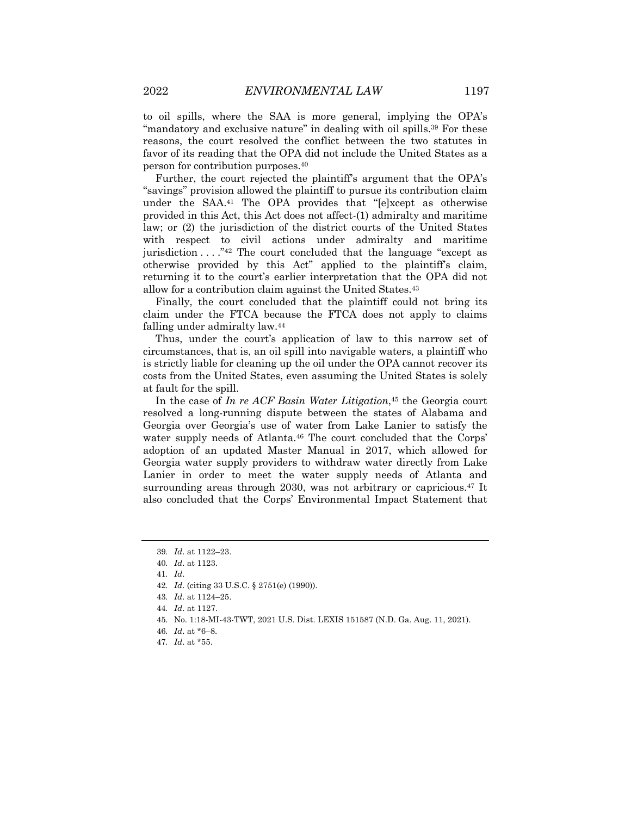to oil spills, where the SAA is more general, implying the OPA's "mandatory and exclusive nature" in dealing with oil spills.<sup>39</sup> For these reasons, the court resolved the conflict between the two statutes in favor of its reading that the OPA did not include the United States as a person for contribution purposes.40

Further, the court rejected the plaintiff's argument that the OPA's "savings" provision allowed the plaintiff to pursue its contribution claim under the SAA.41 The OPA provides that "[e]xcept as otherwise provided in this Act, this Act does not affect-(1) admiralty and maritime law; or (2) the jurisdiction of the district courts of the United States with respect to civil actions under admiralty and maritime jurisdiction  $\dots$  ."<sup>42</sup> The court concluded that the language "except as otherwise provided by this Act" applied to the plaintiff's claim, returning it to the court's earlier interpretation that the OPA did not allow for a contribution claim against the United States.43

Finally, the court concluded that the plaintiff could not bring its claim under the FTCA because the FTCA does not apply to claims falling under admiralty law.44

Thus, under the court's application of law to this narrow set of circumstances, that is, an oil spill into navigable waters, a plaintiff who is strictly liable for cleaning up the oil under the OPA cannot recover its costs from the United States, even assuming the United States is solely at fault for the spill.

In the case of *In re ACF Basin Water Litigation*,45 the Georgia court resolved a long-running dispute between the states of Alabama and Georgia over Georgia's use of water from Lake Lanier to satisfy the water supply needs of Atlanta.<sup>46</sup> The court concluded that the Corps' adoption of an updated Master Manual in 2017, which allowed for Georgia water supply providers to withdraw water directly from Lake Lanier in order to meet the water supply needs of Atlanta and surrounding areas through 2030, was not arbitrary or capricious.<sup>47</sup> It also concluded that the Corps' Environmental Impact Statement that

<sup>39</sup>*. Id*. at 1122–23.

<sup>40</sup>*. Id*. at 1123.

<sup>41</sup>*. Id*.

<sup>42</sup>*. Id*. (citing 33 U.S.C. § 2751(e) (1990)).

<sup>43</sup>*. Id*. at 1124–25.

<sup>44</sup>*. Id*. at 1127.

<sup>45.</sup> No. 1:18-MI-43-TWT, 2021 U.S. Dist. LEXIS 151587 (N.D. Ga. Aug. 11, 2021).

<sup>46</sup>*. Id*. at \*6–8.

<sup>47</sup>*. Id*. at \*55.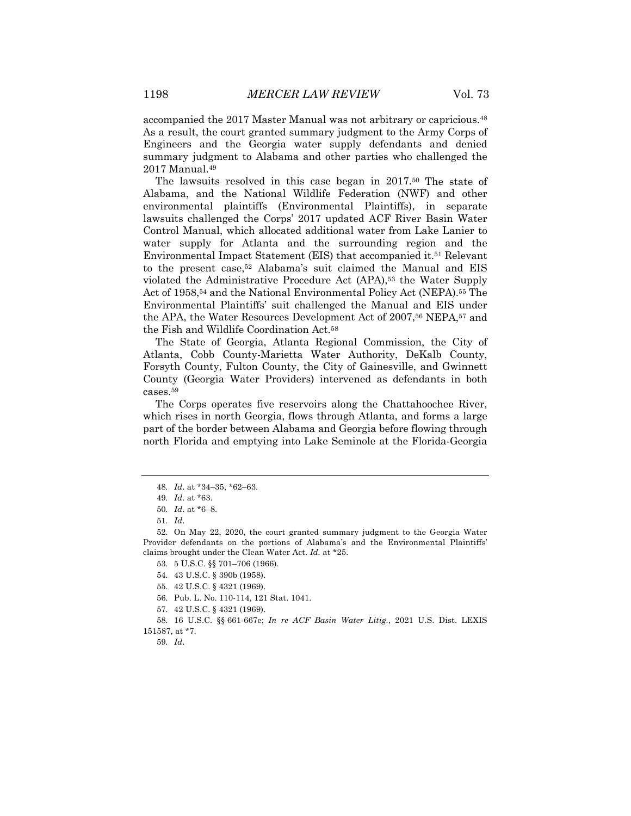accompanied the 2017 Master Manual was not arbitrary or capricious.48 As a result, the court granted summary judgment to the Army Corps of Engineers and the Georgia water supply defendants and denied summary judgment to Alabama and other parties who challenged the 2017 Manual.49

The lawsuits resolved in this case began in 2017.50 The state of Alabama, and the National Wildlife Federation (NWF) and other environmental plaintiffs (Environmental Plaintiffs), in separate lawsuits challenged the Corps' 2017 updated ACF River Basin Water Control Manual, which allocated additional water from Lake Lanier to water supply for Atlanta and the surrounding region and the Environmental Impact Statement (EIS) that accompanied it.<sup>51</sup> Relevant to the present case,52 Alabama's suit claimed the Manual and EIS violated the Administrative Procedure Act (APA),53 the Water Supply Act of 1958,54 and the National Environmental Policy Act (NEPA).55 The Environmental Plaintiffs' suit challenged the Manual and EIS under the APA, the Water Resources Development Act of 2007,56 NEPA,57 and the Fish and Wildlife Coordination Act.58

The State of Georgia, Atlanta Regional Commission, the City of Atlanta, Cobb County-Marietta Water Authority, DeKalb County, Forsyth County, Fulton County, the City of Gainesville, and Gwinnett County (Georgia Water Providers) intervened as defendants in both cases.59

The Corps operates five reservoirs along the Chattahoochee River, which rises in north Georgia, flows through Atlanta, and forms a large part of the border between Alabama and Georgia before flowing through north Florida and emptying into Lake Seminole at the Florida-Georgia

<sup>48</sup>*. Id*. at \*34–35, \*62–63.

<sup>49</sup>*. Id*. at \*63.

<sup>50</sup>*. Id*. at \*6–8.

<sup>51</sup>*. Id*.

<sup>52.</sup> On May 22, 2020, the court granted summary judgment to the Georgia Water Provider defendants on the portions of Alabama's and the Environmental Plaintiffs' claims brought under the Clean Water Act. *Id.* at \*25.

<sup>53.</sup> 5 U.S.C. §§ 701–706 (1966).

<sup>54.</sup> 43 U.S.C. § 390b (1958).

<sup>55.</sup> 42 U.S.C. § 4321 (1969).

<sup>56.</sup> Pub. L. No. 110-114, 121 Stat. 1041.

<sup>57.</sup> 42 U.S.C. § 4321 (1969).

<sup>58.</sup> 16 U.S.C. §§ 661-667e; *In re ACF Basin Water Litig.*, 2021 U.S. Dist. LEXIS 151587, at \*7.

<sup>59</sup>*. Id*.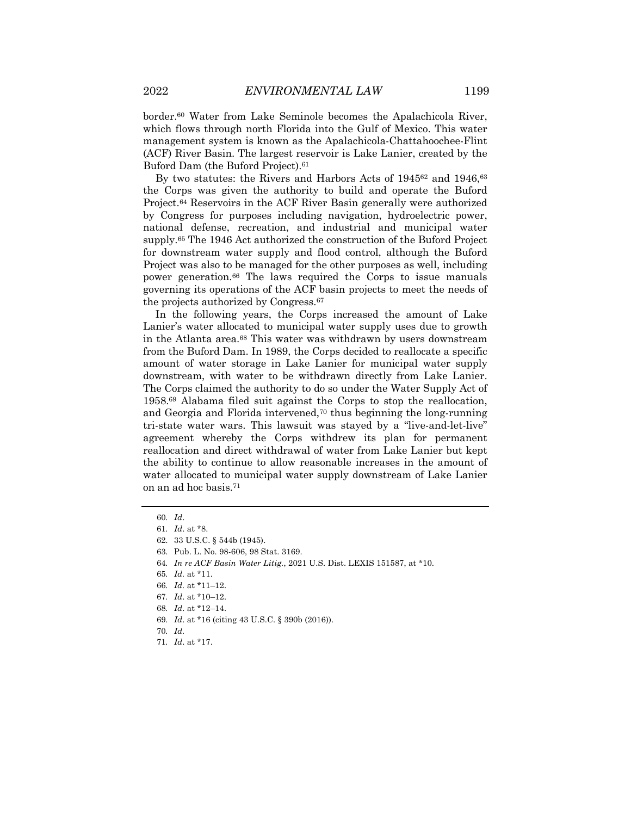border.60 Water from Lake Seminole becomes the Apalachicola River, which flows through north Florida into the Gulf of Mexico. This water management system is known as the Apalachicola-Chattahoochee-Flint (ACF) River Basin. The largest reservoir is Lake Lanier, created by the

Buford Dam (the Buford Project).61 By two statutes: the Rivers and Harbors Acts of 1945<sup>62</sup> and 1946,<sup>63</sup> the Corps was given the authority to build and operate the Buford Project.64 Reservoirs in the ACF River Basin generally were authorized by Congress for purposes including navigation, hydroelectric power, national defense, recreation, and industrial and municipal water supply.65 The 1946 Act authorized the construction of the Buford Project for downstream water supply and flood control, although the Buford Project was also to be managed for the other purposes as well, including power generation.66 The laws required the Corps to issue manuals governing its operations of the ACF basin projects to meet the needs of the projects authorized by Congress.67

In the following years, the Corps increased the amount of Lake Lanier's water allocated to municipal water supply uses due to growth in the Atlanta area.68 This water was withdrawn by users downstream from the Buford Dam. In 1989, the Corps decided to reallocate a specific amount of water storage in Lake Lanier for municipal water supply downstream, with water to be withdrawn directly from Lake Lanier. The Corps claimed the authority to do so under the Water Supply Act of 1958.69 Alabama filed suit against the Corps to stop the reallocation, and Georgia and Florida intervened,70 thus beginning the long-running tri-state water wars. This lawsuit was stayed by a "live-and-let-live" agreement whereby the Corps withdrew its plan for permanent reallocation and direct withdrawal of water from Lake Lanier but kept the ability to continue to allow reasonable increases in the amount of water allocated to municipal water supply downstream of Lake Lanier on an ad hoc basis.71

<sup>60</sup>*. Id*.

<sup>61</sup>*. Id*. at \*8.

<sup>62.</sup> 33 U.S.C. § 544b (1945).

<sup>63.</sup> Pub. L. No. 98-606, 98 Stat. 3169.

<sup>64</sup>*. In re ACF Basin Water Litig.*, 2021 U.S. Dist. LEXIS 151587, at \*10.

<sup>65</sup>*. Id.* at \*11.

<sup>66</sup>*. Id.* at \*11–12.

<sup>67</sup>*. Id*. at \*10–12.

<sup>68</sup>*. Id*. at \*12–14.

<sup>69</sup>*. Id*. at \*16 (citing 43 U.S.C. § 390b (2016)).

<sup>70</sup>*. Id.*

<sup>71</sup>*. Id*. at \*17.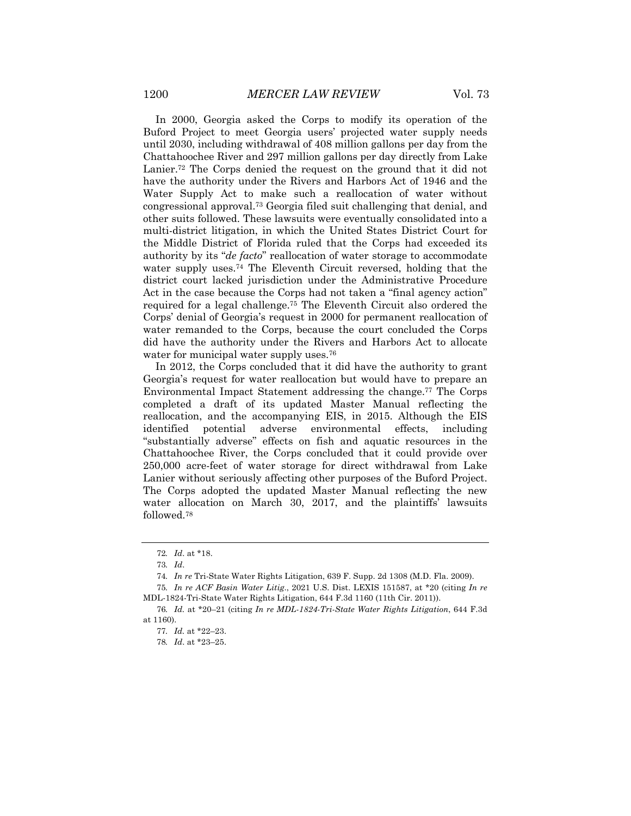In 2000, Georgia asked the Corps to modify its operation of the Buford Project to meet Georgia users' projected water supply needs until 2030, including withdrawal of 408 million gallons per day from the Chattahoochee River and 297 million gallons per day directly from Lake Lanier.<sup>72</sup> The Corps denied the request on the ground that it did not have the authority under the Rivers and Harbors Act of 1946 and the Water Supply Act to make such a reallocation of water without congressional approval.73 Georgia filed suit challenging that denial, and other suits followed. These lawsuits were eventually consolidated into a multi-district litigation, in which the United States District Court for the Middle District of Florida ruled that the Corps had exceeded its authority by its "*de facto*" reallocation of water storage to accommodate water supply uses.74 The Eleventh Circuit reversed, holding that the district court lacked jurisdiction under the Administrative Procedure Act in the case because the Corps had not taken a "final agency action" required for a legal challenge.75 The Eleventh Circuit also ordered the Corps' denial of Georgia's request in 2000 for permanent reallocation of water remanded to the Corps, because the court concluded the Corps did have the authority under the Rivers and Harbors Act to allocate water for municipal water supply uses.<sup>76</sup>

In 2012, the Corps concluded that it did have the authority to grant Georgia's request for water reallocation but would have to prepare an Environmental Impact Statement addressing the change.77 The Corps completed a draft of its updated Master Manual reflecting the reallocation, and the accompanying EIS, in 2015. Although the EIS identified potential adverse environmental effects, including "substantially adverse" effects on fish and aquatic resources in the Chattahoochee River, the Corps concluded that it could provide over 250,000 acre-feet of water storage for direct withdrawal from Lake Lanier without seriously affecting other purposes of the Buford Project. The Corps adopted the updated Master Manual reflecting the new water allocation on March 30, 2017, and the plaintiffs' lawsuits followed.78

<sup>72</sup>*. Id*. at \*18.

<sup>73</sup>*. Id*.

<sup>74</sup>*. In re* Tri-State Water Rights Litigation, 639 F. Supp. 2d 1308 (M.D. Fla. 2009).

<sup>75</sup>*. In re ACF Basin Water Litig*., 2021 U.S. Dist. LEXIS 151587, at \*20 (citing *In re* MDL-1824-Tri-State Water Rights Litigation, 644 F.3d 1160 (11th Cir. 2011)).

<sup>76</sup>*. Id.* at \*20–21 (citing *In re MDL-1824-Tri-State Water Rights Litigation*, 644 F.3d at 1160).

<sup>77</sup>*. Id.* at \*22–23.

<sup>78</sup>*. Id*. at \*23–25.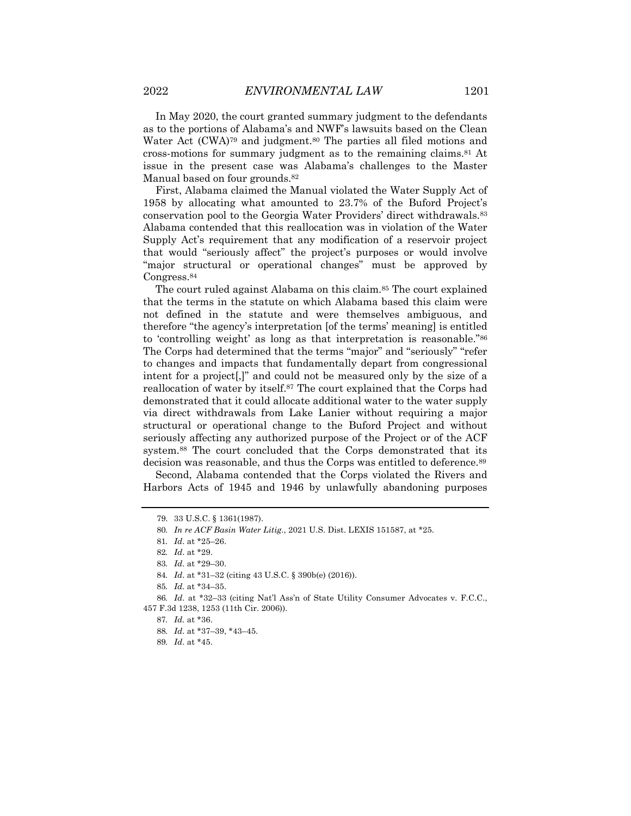In May 2020, the court granted summary judgment to the defendants as to the portions of Alabama's and NWF's lawsuits based on the Clean Water Act (CWA)<sup>79</sup> and judgment.<sup>80</sup> The parties all filed motions and cross-motions for summary judgment as to the remaining claims.81 At issue in the present case was Alabama's challenges to the Master Manual based on four grounds.<sup>82</sup>

First, Alabama claimed the Manual violated the Water Supply Act of 1958 by allocating what amounted to 23.7% of the Buford Project's conservation pool to the Georgia Water Providers' direct withdrawals.83 Alabama contended that this reallocation was in violation of the Water Supply Act's requirement that any modification of a reservoir project that would "seriously affect" the project's purposes or would involve "major structural or operational changes" must be approved by Congress.84

The court ruled against Alabama on this claim.<sup>85</sup> The court explained that the terms in the statute on which Alabama based this claim were not defined in the statute and were themselves ambiguous, and therefore "the agency's interpretation [of the terms' meaning] is entitled to 'controlling weight' as long as that interpretation is reasonable."86 The Corps had determined that the terms "major" and "seriously" "refer to changes and impacts that fundamentally depart from congressional intent for a project[,]" and could not be measured only by the size of a reallocation of water by itself.87 The court explained that the Corps had demonstrated that it could allocate additional water to the water supply via direct withdrawals from Lake Lanier without requiring a major structural or operational change to the Buford Project and without seriously affecting any authorized purpose of the Project or of the ACF system.88 The court concluded that the Corps demonstrated that its decision was reasonable, and thus the Corps was entitled to deference.89

Second, Alabama contended that the Corps violated the Rivers and Harbors Acts of 1945 and 1946 by unlawfully abandoning purposes

<sup>79.</sup> 33 U.S.C. § 1361(1987).

<sup>80</sup>*. In re ACF Basin Water Litig*., 2021 U.S. Dist. LEXIS 151587, at \*25.

<sup>81</sup>*. Id*. at \*25–26.

<sup>82</sup>*. Id*. at \*29.

<sup>83</sup>*. Id*. at \*29–30.

<sup>84</sup>*. Id*. at \*31–32 (citing 43 U.S.C. § 390b(e) (2016)).

<sup>85</sup>*. Id.* at \*34–35.

<sup>86</sup>*. Id*. at \*32–33 (citing Nat'l Ass'n of State Utility Consumer Advocates v. F.C.C., 457 F.3d 1238, 1253 (11th Cir. 2006)).

<sup>87</sup>*. Id.* at \*36.

<sup>88</sup>*. Id*. at \*37–39, \*43–45.

<sup>89</sup>*. Id*. at \*45.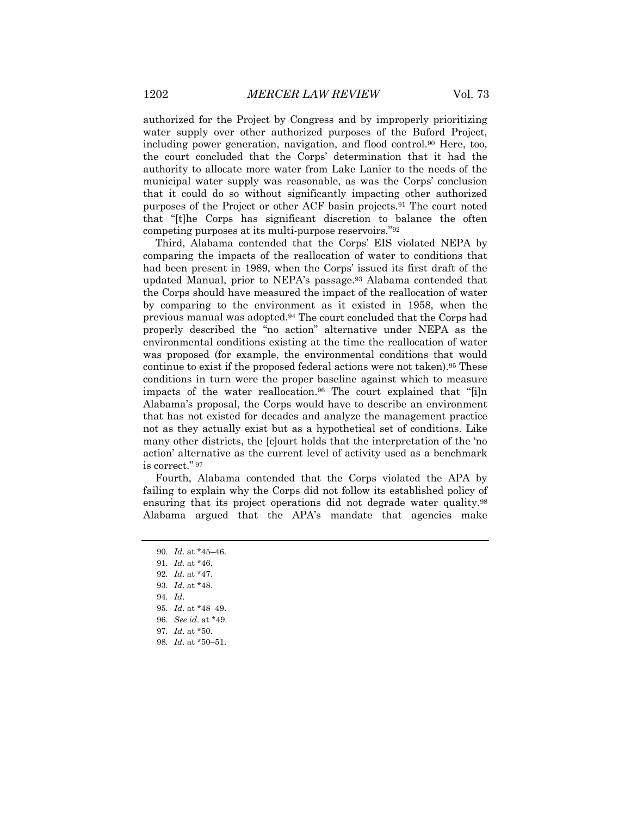authorized for the Project by Congress and by improperly prioritizing water supply over other authorized purposes of the Buford Project, including power generation, navigation, and flood control.90 Here, too, the court concluded that the Corps' determination that it had the authority to allocate more water from Lake Lanier to the needs of the municipal water supply was reasonable, as was the Corps' conclusion that it could do so without significantly impacting other authorized purposes of the Project or other ACF basin projects.91 The court noted that "[t]he Corps has significant discretion to balance the often competing purposes at its multi-purpose reservoirs."92

Third, Alabama contended that the Corps' EIS violated NEPA by comparing the impacts of the reallocation of water to conditions that had been present in 1989, when the Corps' issued its first draft of the updated Manual, prior to NEPA's passage.93 Alabama contended that the Corps should have measured the impact of the reallocation of water by comparing to the environment as it existed in 1958, when the previous manual was adopted.94 The court concluded that the Corps had properly described the "no action" alternative under NEPA as the environmental conditions existing at the time the reallocation of water was proposed (for example, the environmental conditions that would continue to exist if the proposed federal actions were not taken).95 These conditions in turn were the proper baseline against which to measure impacts of the water reallocation.96 The court explained that "[i]n Alabama's proposal, the Corps would have to describe an environment that has not existed for decades and analyze the management practice not as they actually exist but as a hypothetical set of conditions. Like many other districts, the [c]ourt holds that the interpretation of the 'no action' alternative as the current level of activity used as a benchmark is correct." <sup>97</sup>

Fourth, Alabama contended that the Corps violated the APA by failing to explain why the Corps did not follow its established policy of ensuring that its project operations did not degrade water quality.98 Alabama argued that the APA's mandate that agencies make

- 93*. Id*. at \*48.
- 94*. Id*.
- 95*. Id*. at \*48–49.
- 96*. See id*. at \*49.
- 97*. Id*. at \*50.
- 98*. Id*. at \*50–51.

<sup>90</sup>*. Id*. at \*45–46.

<sup>91</sup>*. Id*. at \*46.

<sup>92</sup>*. Id*. at \*47.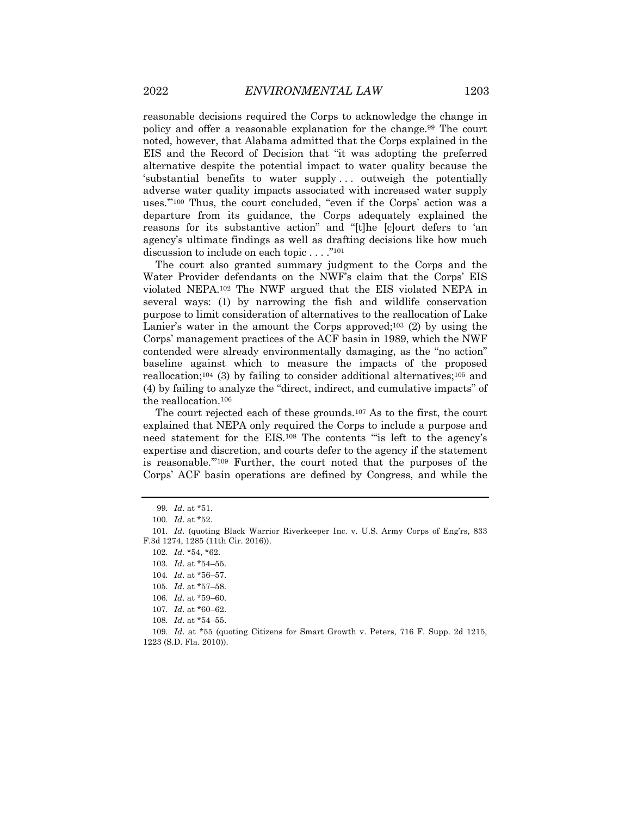reasonable decisions required the Corps to acknowledge the change in policy and offer a reasonable explanation for the change.99 The court noted, however, that Alabama admitted that the Corps explained in the EIS and the Record of Decision that "it was adopting the preferred alternative despite the potential impact to water quality because the 'substantial benefits to water supply . . . outweigh the potentially adverse water quality impacts associated with increased water supply uses.'"100 Thus, the court concluded, "even if the Corps' action was a departure from its guidance, the Corps adequately explained the reasons for its substantive action" and "[t]he [c]ourt defers to 'an agency's ultimate findings as well as drafting decisions like how much discussion to include on each topic . . . ."101

The court also granted summary judgment to the Corps and the Water Provider defendants on the NWF's claim that the Corps' EIS violated NEPA.102 The NWF argued that the EIS violated NEPA in several ways: (1) by narrowing the fish and wildlife conservation purpose to limit consideration of alternatives to the reallocation of Lake Lanier's water in the amount the Corps approved;<sup>103</sup> (2) by using the Corps' management practices of the ACF basin in 1989, which the NWF contended were already environmentally damaging, as the "no action" baseline against which to measure the impacts of the proposed reallocation;<sup>104</sup> (3) by failing to consider additional alternatives;<sup>105</sup> and (4) by failing to analyze the "direct, indirect, and cumulative impacts" of the reallocation.106

The court rejected each of these grounds.107 As to the first, the court explained that NEPA only required the Corps to include a purpose and need statement for the EIS.108 The contents "'is left to the agency's expertise and discretion, and courts defer to the agency if the statement is reasonable.'"109 Further, the court noted that the purposes of the Corps' ACF basin operations are defined by Congress, and while the

<sup>99</sup>*. Id*. at \*51.

<sup>100</sup>*. Id*. at \*52.

<sup>101</sup>*. Id*. (quoting Black Warrior Riverkeeper Inc. v. U.S. Army Corps of Eng'rs, 833 F.3d 1274, 1285 (11th Cir. 2016)).

<sup>102</sup>*. Id.* \*54, \*62.

<sup>103</sup>*. Id*. at \*54–55.

<sup>104</sup>*. Id*. at \*56–57.

<sup>105</sup>*. Id*. at \*57–58.

<sup>106</sup>*. Id*. at \*59–60.

<sup>107</sup>*. Id*. at \*60–62.

<sup>108</sup>*. Id*. at \*54–55.

<sup>109</sup>*. Id*. at \*55 (quoting Citizens for Smart Growth v. Peters, 716 F. Supp. 2d 1215, 1223 (S.D. Fla. 2010)).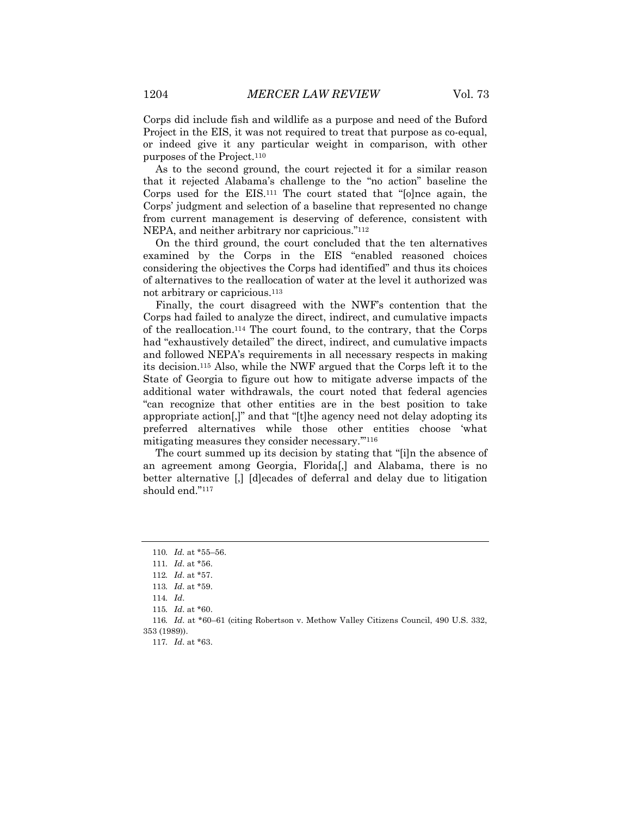Corps did include fish and wildlife as a purpose and need of the Buford Project in the EIS, it was not required to treat that purpose as co-equal, or indeed give it any particular weight in comparison, with other purposes of the Project.110

As to the second ground, the court rejected it for a similar reason that it rejected Alabama's challenge to the "no action" baseline the Corps used for the EIS.111 The court stated that "[o]nce again, the Corps' judgment and selection of a baseline that represented no change from current management is deserving of deference, consistent with NEPA, and neither arbitrary nor capricious."112

On the third ground, the court concluded that the ten alternatives examined by the Corps in the EIS "enabled reasoned choices considering the objectives the Corps had identified" and thus its choices of alternatives to the reallocation of water at the level it authorized was not arbitrary or capricious.113

Finally, the court disagreed with the NWF's contention that the Corps had failed to analyze the direct, indirect, and cumulative impacts of the reallocation.114 The court found, to the contrary, that the Corps had "exhaustively detailed" the direct, indirect, and cumulative impacts and followed NEPA's requirements in all necessary respects in making its decision.115 Also, while the NWF argued that the Corps left it to the State of Georgia to figure out how to mitigate adverse impacts of the additional water withdrawals, the court noted that federal agencies "can recognize that other entities are in the best position to take appropriate action[,]" and that "[t]he agency need not delay adopting its preferred alternatives while those other entities choose 'what mitigating measures they consider necessary.'"116

The court summed up its decision by stating that "[i]n the absence of an agreement among Georgia, Florida[,] and Alabama, there is no better alternative [,] [d]ecades of deferral and delay due to litigation should end."117

<sup>110</sup>*. Id.* at \*55–56.

<sup>111</sup>*. Id*. at \*56.

<sup>112</sup>*. Id*. at \*57.

<sup>113</sup>*. Id*. at \*59.

<sup>114</sup>*. Id*.

<sup>115</sup>*. Id*. at \*60.

<sup>116</sup>*. Id*. at \*60–61 (citing Robertson v. Methow Valley Citizens Council, 490 U.S. 332, 353 (1989)).

<sup>117</sup>*. Id*. at \*63.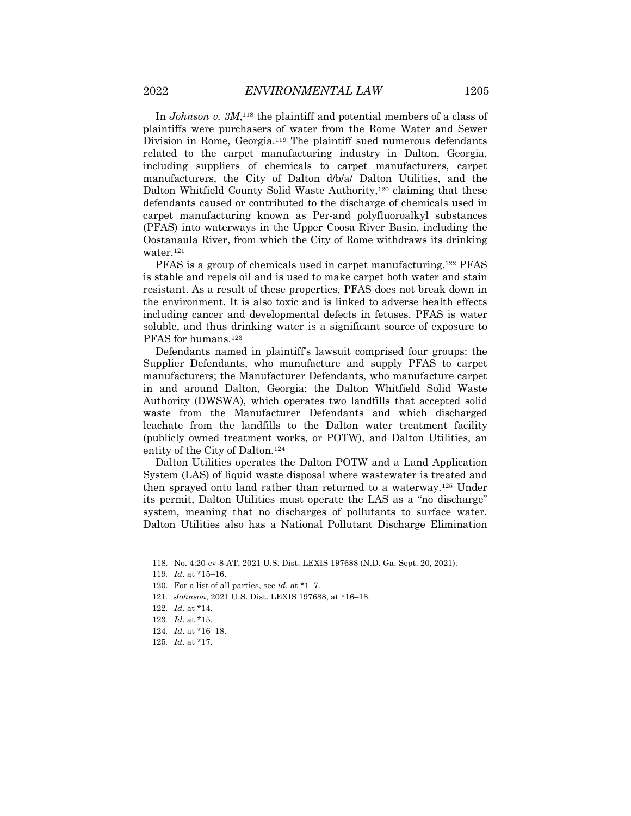In *Johnson v. 3M*,118 the plaintiff and potential members of a class of plaintiffs were purchasers of water from the Rome Water and Sewer Division in Rome, Georgia.119 The plaintiff sued numerous defendants related to the carpet manufacturing industry in Dalton, Georgia, including suppliers of chemicals to carpet manufacturers, carpet manufacturers, the City of Dalton d/b/a/ Dalton Utilities, and the Dalton Whitfield County Solid Waste Authority,120 claiming that these defendants caused or contributed to the discharge of chemicals used in carpet manufacturing known as Per-and polyfluoroalkyl substances (PFAS) into waterways in the Upper Coosa River Basin, including the Oostanaula River, from which the City of Rome withdraws its drinking water.121

PFAS is a group of chemicals used in carpet manufacturing.122 PFAS is stable and repels oil and is used to make carpet both water and stain resistant. As a result of these properties, PFAS does not break down in the environment. It is also toxic and is linked to adverse health effects including cancer and developmental defects in fetuses. PFAS is water soluble, and thus drinking water is a significant source of exposure to PFAS for humans.<sup>123</sup>

Defendants named in plaintiff's lawsuit comprised four groups: the Supplier Defendants, who manufacture and supply PFAS to carpet manufacturers; the Manufacturer Defendants, who manufacture carpet in and around Dalton, Georgia; the Dalton Whitfield Solid Waste Authority (DWSWA), which operates two landfills that accepted solid waste from the Manufacturer Defendants and which discharged leachate from the landfills to the Dalton water treatment facility (publicly owned treatment works, or POTW), and Dalton Utilities, an entity of the City of Dalton.124

Dalton Utilities operates the Dalton POTW and a Land Application System (LAS) of liquid waste disposal where wastewater is treated and then sprayed onto land rather than returned to a waterway.125 Under its permit, Dalton Utilities must operate the LAS as a "no discharge" system, meaning that no discharges of pollutants to surface water. Dalton Utilities also has a National Pollutant Discharge Elimination

<sup>118.</sup> No. 4:20-cv-8-AT, 2021 U.S. Dist. LEXIS 197688 (N.D. Ga. Sept. 20, 2021).

<sup>119</sup>*. Id*. at \*15–16.

<sup>120.</sup> For a list of all parties, see *id*. at \*1–7.

<sup>121</sup>*. Johnson*, 2021 U.S. Dist. LEXIS 197688, at \*16–18.

<sup>122</sup>*. Id*. at \*14.

<sup>123</sup>*. Id*. at \*15.

<sup>124</sup>*. Id*. at \*16–18.

<sup>125</sup>*. Id*. at \*17.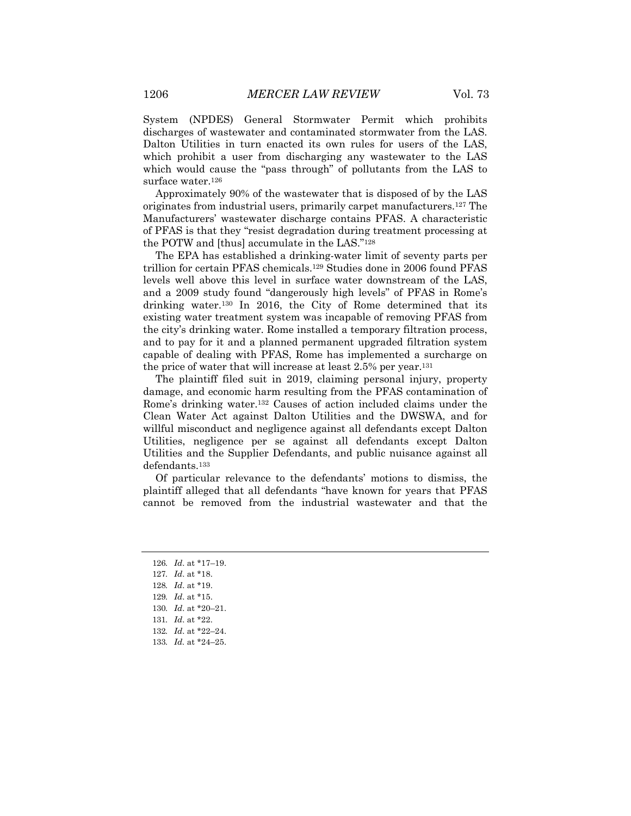System (NPDES) General Stormwater Permit which prohibits discharges of wastewater and contaminated stormwater from the LAS. Dalton Utilities in turn enacted its own rules for users of the LAS, which prohibit a user from discharging any wastewater to the LAS which would cause the "pass through" of pollutants from the LAS to surface water.<sup>126</sup>

Approximately 90% of the wastewater that is disposed of by the LAS originates from industrial users, primarily carpet manufacturers.127 The Manufacturers' wastewater discharge contains PFAS. A characteristic of PFAS is that they "resist degradation during treatment processing at the POTW and [thus] accumulate in the LAS."128

The EPA has established a drinking-water limit of seventy parts per trillion for certain PFAS chemicals.129 Studies done in 2006 found PFAS levels well above this level in surface water downstream of the LAS, and a 2009 study found "dangerously high levels" of PFAS in Rome's drinking water.130 In 2016, the City of Rome determined that its existing water treatment system was incapable of removing PFAS from the city's drinking water. Rome installed a temporary filtration process, and to pay for it and a planned permanent upgraded filtration system capable of dealing with PFAS, Rome has implemented a surcharge on the price of water that will increase at least 2.5% per year.131

The plaintiff filed suit in 2019, claiming personal injury, property damage, and economic harm resulting from the PFAS contamination of Rome's drinking water.132 Causes of action included claims under the Clean Water Act against Dalton Utilities and the DWSWA, and for willful misconduct and negligence against all defendants except Dalton Utilities, negligence per se against all defendants except Dalton Utilities and the Supplier Defendants, and public nuisance against all defendants.<sup>133</sup>

Of particular relevance to the defendants' motions to dismiss, the plaintiff alleged that all defendants "have known for years that PFAS cannot be removed from the industrial wastewater and that the

<sup>126</sup>*. Id*. at \*17–19.

<sup>127</sup>*. Id*. at \*18.

<sup>128</sup>*. Id*. at \*19.

<sup>129</sup>*. Id*. at \*15.

<sup>130</sup>*. Id*. at \*20–21.

<sup>131</sup>*. Id*. at \*22.

<sup>132</sup>*. Id*. at \*22–24.

<sup>133</sup>*. Id.* at \*24–25.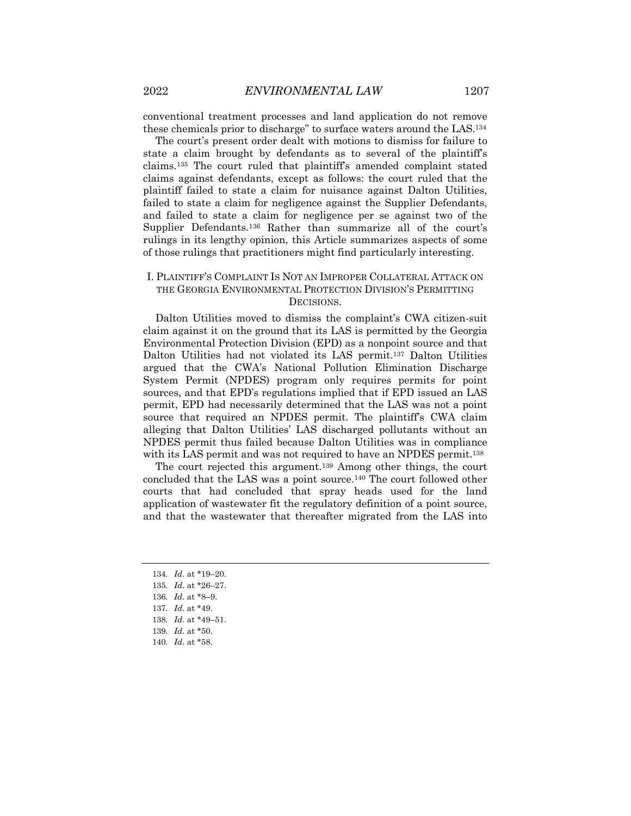conventional treatment processes and land application do not remove these chemicals prior to discharge" to surface waters around the LAS.134

The court's present order dealt with motions to dismiss for failure to state a claim brought by defendants as to several of the plaintiff's claims.135 The court ruled that plaintiff's amended complaint stated claims against defendants, except as follows: the court ruled that the plaintiff failed to state a claim for nuisance against Dalton Utilities, failed to state a claim for negligence against the Supplier Defendants, and failed to state a claim for negligence per se against two of the Supplier Defendants.136 Rather than summarize all of the court's rulings in its lengthy opinion, this Article summarizes aspects of some of those rulings that practitioners might find particularly interesting.

#### I. PLAINTIFF'S COMPLAINT IS NOT AN IMPROPER COLLATERAL ATTACK ON THE GEORGIA ENVIRONMENTAL PROTECTION DIVISION'S PERMITTING DECISIONS.

Dalton Utilities moved to dismiss the complaint's CWA citizen-suit claim against it on the ground that its LAS is permitted by the Georgia Environmental Protection Division (EPD) as a nonpoint source and that Dalton Utilities had not violated its LAS permit.137 Dalton Utilities argued that the CWA's National Pollution Elimination Discharge System Permit (NPDES) program only requires permits for point sources, and that EPD's regulations implied that if EPD issued an LAS permit, EPD had necessarily determined that the LAS was not a point source that required an NPDES permit. The plaintiff's CWA claim alleging that Dalton Utilities' LAS discharged pollutants without an NPDES permit thus failed because Dalton Utilities was in compliance with its LAS permit and was not required to have an NPDES permit.<sup>138</sup>

The court rejected this argument.139 Among other things, the court concluded that the LAS was a point source.140 The court followed other courts that had concluded that spray heads used for the land application of wastewater fit the regulatory definition of a point source, and that the wastewater that thereafter migrated from the LAS into

- 134*. Id*. at \*19–20.
- 135*. Id*. at \*26–27.
- 136*. Id*. at \*8–9.
- 137*. Id*. at \*49.
- 138*. Id*. at \*49–51.
- 139*. Id*. at \*50.

<sup>140</sup>*. Id*. at \*58.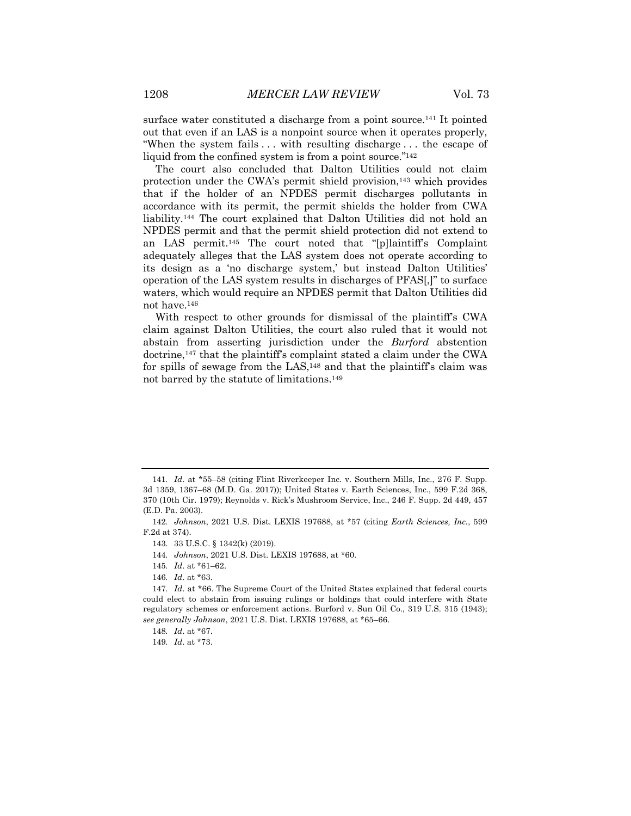surface water constituted a discharge from a point source.141 It pointed out that even if an LAS is a nonpoint source when it operates properly, "When the system fails . . . with resulting discharge . . . the escape of liquid from the confined system is from a point source."142

The court also concluded that Dalton Utilities could not claim protection under the CWA's permit shield provision,<sup>143</sup> which provides that if the holder of an NPDES permit discharges pollutants in accordance with its permit, the permit shields the holder from CWA liability.144 The court explained that Dalton Utilities did not hold an NPDES permit and that the permit shield protection did not extend to an LAS permit.145 The court noted that "[p]laintiff's Complaint adequately alleges that the LAS system does not operate according to its design as a 'no discharge system,' but instead Dalton Utilities' operation of the LAS system results in discharges of PFAS[,]" to surface waters, which would require an NPDES permit that Dalton Utilities did not have.146

With respect to other grounds for dismissal of the plaintiff's CWA claim against Dalton Utilities, the court also ruled that it would not abstain from asserting jurisdiction under the *Burford* abstention doctrine,<sup>147</sup> that the plaintiff's complaint stated a claim under the CWA for spills of sewage from the LAS,148 and that the plaintiff's claim was not barred by the statute of limitations.149

<sup>141</sup>*. Id*. at \*55–58 (citing Flint Riverkeeper Inc. v. Southern Mills, Inc., 276 F. Supp. 3d 1359, 1367–68 (M.D. Ga. 2017)); United States v. Earth Sciences, Inc., 599 F.2d 368, 370 (10th Cir. 1979); Reynolds v. Rick's Mushroom Service, Inc., 246 F. Supp. 2d 449, 457 (E.D. Pa. 2003).

<sup>142</sup>*. Johnson*, 2021 U.S. Dist. LEXIS 197688, at \*57 (citing *Earth Sciences, Inc.*, 599 F.2d at 374).

<sup>143.</sup> 33 U.S.C. § 1342(k) (2019).

<sup>144</sup>*. Johnson*, 2021 U.S. Dist. LEXIS 197688, at \*60.

<sup>145</sup>*. Id*. at \*61–62.

<sup>146</sup>*. Id*. at \*63.

<sup>147</sup>*. Id*. at \*66. The Supreme Court of the United States explained that federal courts could elect to abstain from issuing rulings or holdings that could interfere with State regulatory schemes or enforcement actions. Burford v. Sun Oil Co., 319 U.S. 315 (1943); *see generally Johnson*, 2021 U.S. Dist. LEXIS 197688, at \*65–66.

<sup>148</sup>*. Id*. at \*67.

<sup>149</sup>*. Id*. at \*73.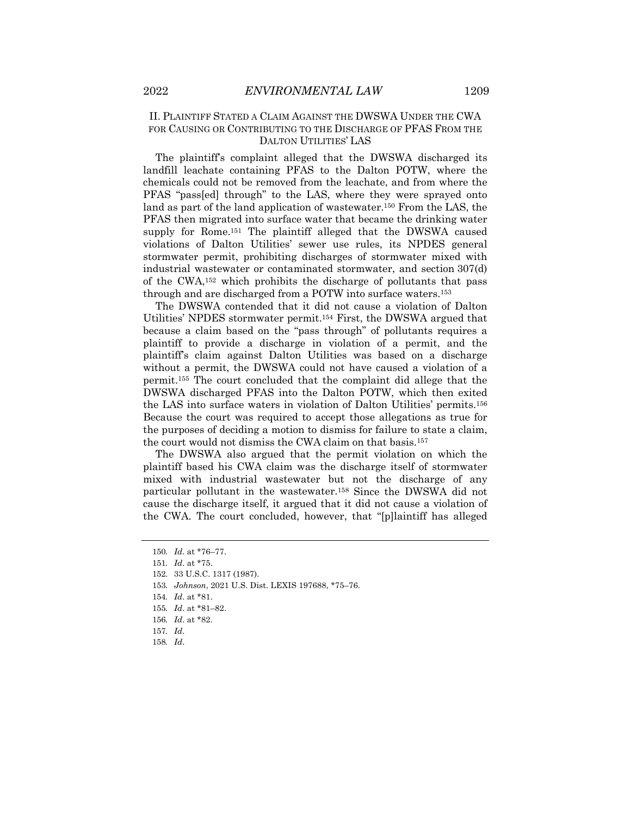#### II. PLAINTIFF STATED A CLAIM AGAINST THE DWSWA UNDER THE CWA FOR CAUSING OR CONTRIBUTING TO THE DISCHARGE OF PFAS FROM THE DALTON UTILITIES' LAS

The plaintiff's complaint alleged that the DWSWA discharged its landfill leachate containing PFAS to the Dalton POTW, where the chemicals could not be removed from the leachate, and from where the PFAS "pass[ed] through" to the LAS, where they were sprayed onto land as part of the land application of wastewater.150 From the LAS, the PFAS then migrated into surface water that became the drinking water supply for Rome.151 The plaintiff alleged that the DWSWA caused violations of Dalton Utilities' sewer use rules, its NPDES general stormwater permit, prohibiting discharges of stormwater mixed with industrial wastewater or contaminated stormwater, and section 307(d) of the CWA,152 which prohibits the discharge of pollutants that pass through and are discharged from a POTW into surface waters.153

The DWSWA contended that it did not cause a violation of Dalton Utilities' NPDES stormwater permit.154 First, the DWSWA argued that because a claim based on the "pass through" of pollutants requires a plaintiff to provide a discharge in violation of a permit, and the plaintiff's claim against Dalton Utilities was based on a discharge without a permit, the DWSWA could not have caused a violation of a permit.155 The court concluded that the complaint did allege that the DWSWA discharged PFAS into the Dalton POTW, which then exited the LAS into surface waters in violation of Dalton Utilities' permits.156 Because the court was required to accept those allegations as true for the purposes of deciding a motion to dismiss for failure to state a claim, the court would not dismiss the CWA claim on that basis.157

The DWSWA also argued that the permit violation on which the plaintiff based his CWA claim was the discharge itself of stormwater mixed with industrial wastewater but not the discharge of any particular pollutant in the wastewater.158 Since the DWSWA did not cause the discharge itself, it argued that it did not cause a violation of the CWA. The court concluded, however, that "[p]laintiff has alleged

<sup>150</sup>*. Id*. at \*76–77.

<sup>151</sup>*. Id*. at \*75.

<sup>152.</sup> 33 U.S.C. 1317 (1987).

<sup>153</sup>*. Johnson*, 2021 U.S. Dist. LEXIS 197688, \*75–76.

<sup>154</sup>*. Id*. at \*81.

<sup>155</sup>*. Id*. at \*81–82.

<sup>156</sup>*. Id*. at \*82.

<sup>157</sup>*. Id*.

<sup>158</sup>*. Id*.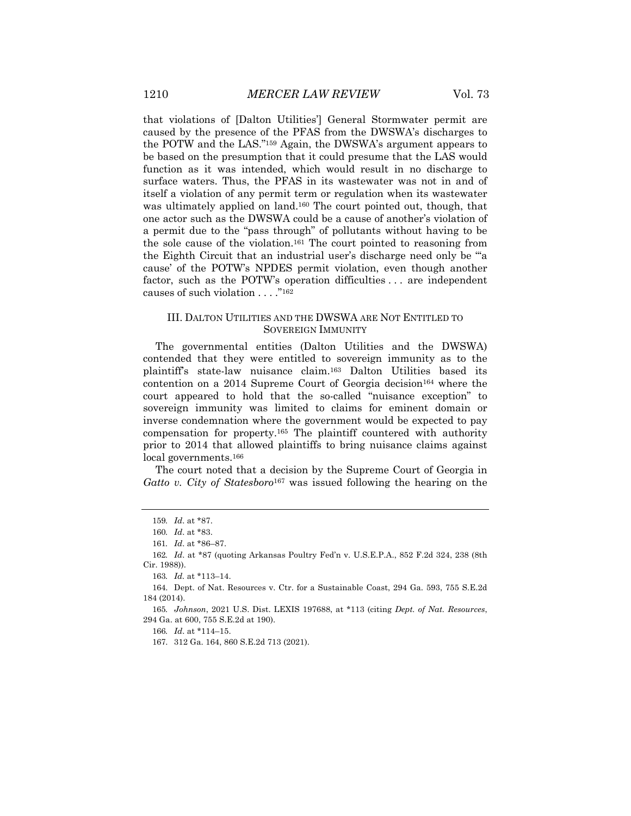that violations of [Dalton Utilities'] General Stormwater permit are caused by the presence of the PFAS from the DWSWA's discharges to the POTW and the LAS."159 Again, the DWSWA's argument appears to be based on the presumption that it could presume that the LAS would function as it was intended, which would result in no discharge to surface waters. Thus, the PFAS in its wastewater was not in and of itself a violation of any permit term or regulation when its wastewater was ultimately applied on land.160 The court pointed out, though, that one actor such as the DWSWA could be a cause of another's violation of a permit due to the "pass through" of pollutants without having to be the sole cause of the violation.161 The court pointed to reasoning from the Eighth Circuit that an industrial user's discharge need only be "'a cause' of the POTW's NPDES permit violation, even though another factor, such as the POTW's operation difficulties . . . are independent causes of such violation . . . . "<sup>162</sup>

#### III. DALTON UTILITIES AND THE DWSWA ARE NOT ENTITLED TO SOVEREIGN IMMUNITY

The governmental entities (Dalton Utilities and the DWSWA) contended that they were entitled to sovereign immunity as to the plaintiff's state-law nuisance claim.163 Dalton Utilities based its contention on a 2014 Supreme Court of Georgia decision<sup>164</sup> where the court appeared to hold that the so-called "nuisance exception" to sovereign immunity was limited to claims for eminent domain or inverse condemnation where the government would be expected to pay compensation for property.165 The plaintiff countered with authority prior to 2014 that allowed plaintiffs to bring nuisance claims against local governments.<sup>166</sup>

The court noted that a decision by the Supreme Court of Georgia in *Gatto v. City of Statesboro*<sup>167</sup> was issued following the hearing on the

166*. Id*. at \*114–15.

<sup>159</sup>*. Id*. at \*87.

<sup>160</sup>*. Id*. at \*83.

<sup>161</sup>*. Id*. at \*86–87.

<sup>162</sup>*. Id*. at \*87 (quoting Arkansas Poultry Fed'n v. U.S.E.P.A., 852 F.2d 324, 238 (8th Cir. 1988)).

<sup>163</sup>*. Id.* at \*113–14.

<sup>164.</sup> Dept. of Nat. Resources v. Ctr. for a Sustainable Coast, 294 Ga. 593, 755 S.E.2d 184 (2014).

<sup>165</sup>*. Johnson*, 2021 U.S. Dist. LEXIS 197688, at \*113 (citing *Dept. of Nat. Resources*, 294 Ga. at 600, 755 S.E.2d at 190).

<sup>167.</sup> 312 Ga. 164, 860 S.E.2d 713 (2021).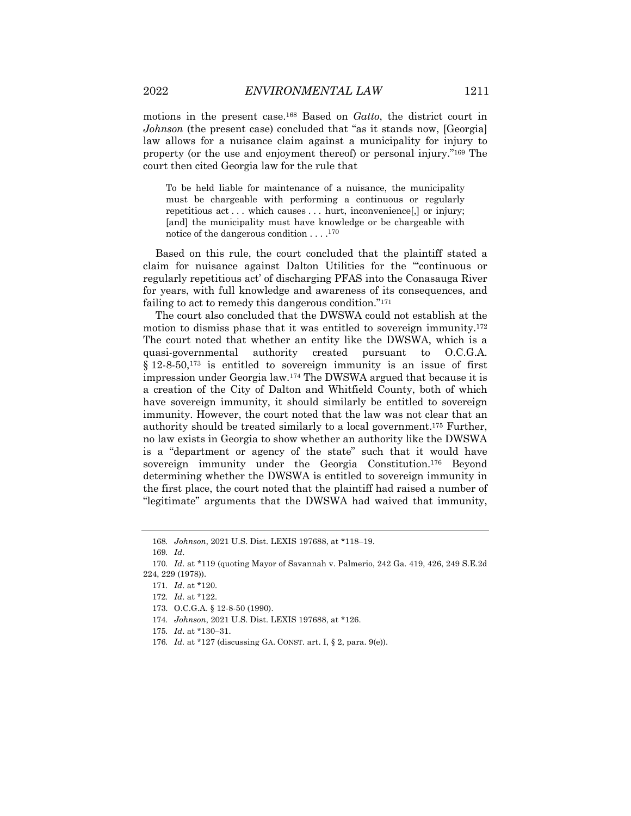motions in the present case.168 Based on *Gatto*, the district court in

*Johnson* (the present case) concluded that "as it stands now, [Georgia] law allows for a nuisance claim against a municipality for injury to property (or the use and enjoyment thereof) or personal injury."169 The court then cited Georgia law for the rule that

To be held liable for maintenance of a nuisance, the municipality must be chargeable with performing a continuous or regularly repetitious act . . . which causes . . . hurt, inconvenience, or injury; [and] the municipality must have knowledge or be chargeable with notice of the dangerous condition . . . .170

Based on this rule, the court concluded that the plaintiff stated a claim for nuisance against Dalton Utilities for the "'continuous or regularly repetitious act' of discharging PFAS into the Conasauga River for years, with full knowledge and awareness of its consequences, and failing to act to remedy this dangerous condition."171

The court also concluded that the DWSWA could not establish at the motion to dismiss phase that it was entitled to sovereign immunity.172 The court noted that whether an entity like the DWSWA, which is a quasi-governmental authority created pursuant to O.C.G.A.  $\S 12-8-50$ ,  $173$  is entitled to sovereign immunity is an issue of first impression under Georgia law.174 The DWSWA argued that because it is a creation of the City of Dalton and Whitfield County, both of which have sovereign immunity, it should similarly be entitled to sovereign immunity. However, the court noted that the law was not clear that an authority should be treated similarly to a local government.175 Further, no law exists in Georgia to show whether an authority like the DWSWA is a "department or agency of the state" such that it would have sovereign immunity under the Georgia Constitution.176 Beyond determining whether the DWSWA is entitled to sovereign immunity in the first place, the court noted that the plaintiff had raised a number of "legitimate" arguments that the DWSWA had waived that immunity,

169*. Id*.

<sup>168</sup>*. Johnson*, 2021 U.S. Dist. LEXIS 197688, at \*118–19.

<sup>170</sup>*. Id*. at \*119 (quoting Mayor of Savannah v. Palmerio, 242 Ga. 419, 426, 249 S.E.2d 224, 229 (1978)).

<sup>171</sup>*. Id*. at \*120.

<sup>172</sup>*. Id*. at \*122.

<sup>173.</sup> O.C.G.A. § 12-8-50 (1990).

<sup>174</sup>*. Johnson*, 2021 U.S. Dist. LEXIS 197688, at \*126.

<sup>175</sup>*. Id*. at \*130–31.

<sup>176</sup>*. Id.* at \*127 (discussing GA. CONST. art. I, § 2, para. 9(e)).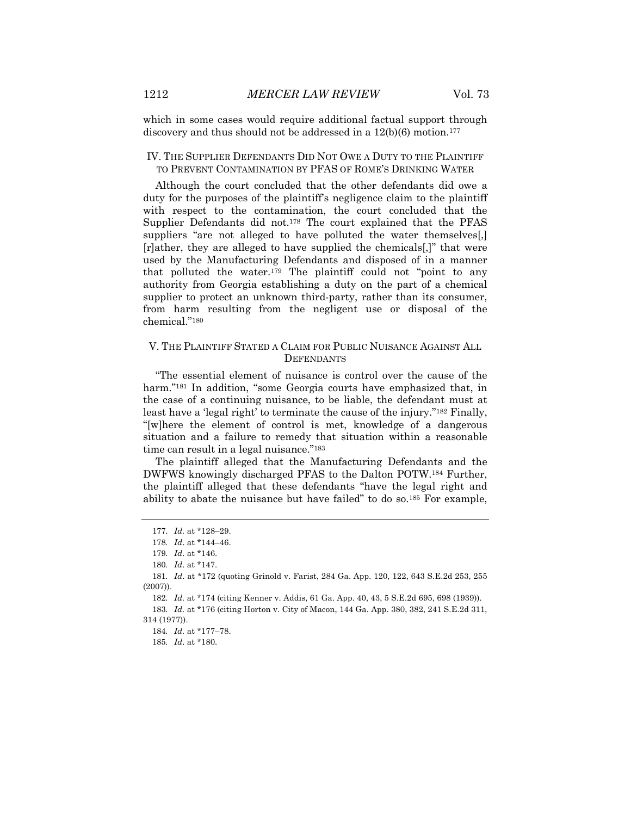which in some cases would require additional factual support through discovery and thus should not be addressed in a  $12(b)(6)$  motion.<sup>177</sup>

#### IV. THE SUPPLIER DEFENDANTS DID NOT OWE A DUTY TO THE PLAINTIFF TO PREVENT CONTAMINATION BY PFAS OF ROME'S DRINKING WATER

Although the court concluded that the other defendants did owe a duty for the purposes of the plaintiff's negligence claim to the plaintiff with respect to the contamination, the court concluded that the Supplier Defendants did not.178 The court explained that the PFAS suppliers "are not alleged to have polluted the water themselves[,] [r]ather, they are alleged to have supplied the chemicals[,]" that were used by the Manufacturing Defendants and disposed of in a manner that polluted the water.179 The plaintiff could not "point to any authority from Georgia establishing a duty on the part of a chemical supplier to protect an unknown third-party, rather than its consumer, from harm resulting from the negligent use or disposal of the chemical."180

#### V. THE PLAINTIFF STATED A CLAIM FOR PUBLIC NUISANCE AGAINST ALL **DEFENDANTS**

"The essential element of nuisance is control over the cause of the harm."<sup>181</sup> In addition, "some Georgia courts have emphasized that, in the case of a continuing nuisance, to be liable, the defendant must at least have a 'legal right' to terminate the cause of the injury."182 Finally, "[w]here the element of control is met, knowledge of a dangerous situation and a failure to remedy that situation within a reasonable time can result in a legal nuisance."183

The plaintiff alleged that the Manufacturing Defendants and the DWFWS knowingly discharged PFAS to the Dalton POTW.184 Further, the plaintiff alleged that these defendants "have the legal right and ability to abate the nuisance but have failed" to do so.185 For example,

<sup>177</sup>*. Id.* at \*128–29.

<sup>178</sup>*. Id*. at \*144–46.

<sup>179</sup>*. Id*. at \*146.

<sup>180</sup>*. Id*. at \*147.

<sup>181</sup>*. Id*. at \*172 (quoting Grinold v. Farist, 284 Ga. App. 120, 122, 643 S.E.2d 253, 255 (2007)).

<sup>182</sup>*. Id.* at \*174 (citing Kenner v. Addis, 61 Ga. App. 40, 43, 5 S.E.2d 695, 698 (1939)).

<sup>183</sup>*. Id.* at \*176 (citing Horton v. City of Macon, 144 Ga. App. 380, 382, 241 S.E.2d 311, 314 (1977)).

<sup>184</sup>*. Id.* at \*177–78.

<sup>185</sup>*. Id*. at \*180.